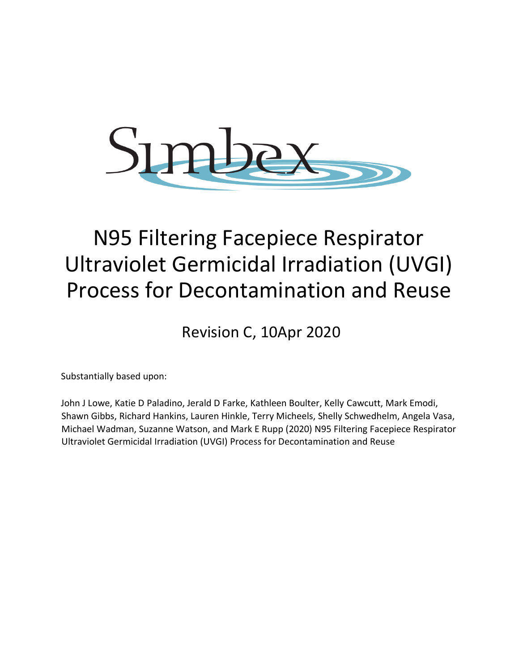

# N95 Filtering Facepiece Respirator Ultraviolet Germicidal Irradiation (UVGI) Process for Decontamination and Reuse

Revision C, 10Apr 2020

Substantially based upon:

John J Lowe, Katie D Paladino, Jerald D Farke, Kathleen Boulter, Kelly Cawcutt, Mark Emodi, Shawn Gibbs, Richard Hankins, Lauren Hinkle, Terry Micheels, Shelly Schwedhelm, Angela Vasa, Michael Wadman, Suzanne Watson, and Mark E Rupp (2020) N95 Filtering Facepiece Respirator Ultraviolet Germicidal Irradiation (UVGI) Process for Decontamination and Reuse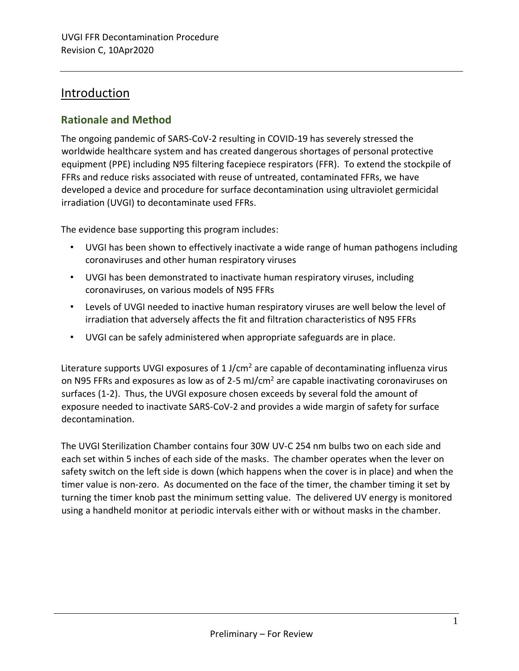# Introduction

## **Rationale and Method**

The ongoing pandemic of SARS-CoV-2 resulting in COVID-19 has severely stressed the worldwide healthcare system and has created dangerous shortages of personal protective equipment (PPE) including N95 filtering facepiece respirators (FFR). To extend the stockpile of FFRs and reduce risks associated with reuse of untreated, contaminated FFRs, we have developed a device and procedure for surface decontamination using ultraviolet germicidal irradiation (UVGI) to decontaminate used FFRs.

The evidence base supporting this program includes:

- UVGI has been shown to effectively inactivate a wide range of human pathogens including coronaviruses and other human respiratory viruses
- UVGI has been demonstrated to inactivate human respiratory viruses, including coronaviruses, on various models of N95 FFRs
- Levels of UVGI needed to inactive human respiratory viruses are well below the level of irradiation that adversely affects the fit and filtration characteristics of N95 FFRs
- UVGI can be safely administered when appropriate safeguards are in place.

Literature supports UVGI exposures of  $1 \frac{J}{cm^2}$  are capable of decontaminating influenza virus on N95 FFRs and exposures as low as of 2-5 mJ/cm<sup>2</sup> are capable inactivating coronaviruses on surfaces (1-2). Thus, the UVGI exposure chosen exceeds by several fold the amount of exposure needed to inactivate SARS-CoV-2 and provides a wide margin of safety for surface decontamination.

The UVGI Sterilization Chamber contains four 30W UV-C 254 nm bulbs two on each side and each set within 5 inches of each side of the masks. The chamber operates when the lever on safety switch on the left side is down (which happens when the cover is in place) and when the timer value is non-zero. As documented on the face of the timer, the chamber timing it set by turning the timer knob past the minimum setting value. The delivered UV energy is monitored using a handheld monitor at periodic intervals either with or without masks in the chamber.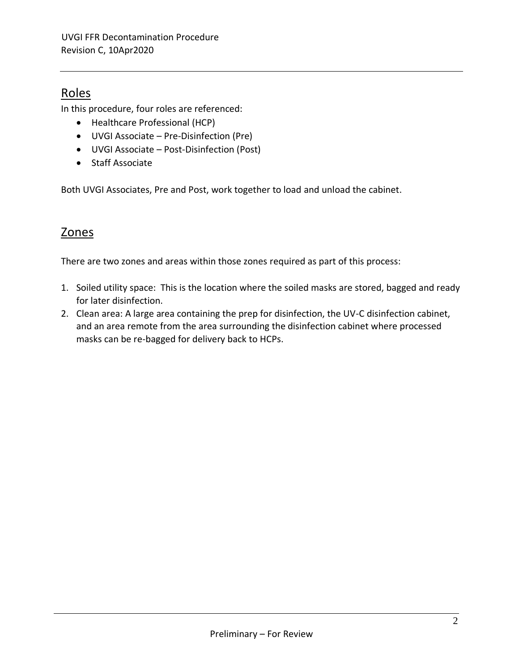# Roles

In this procedure, four roles are referenced:

- Healthcare Professional (HCP)
- UVGI Associate Pre-Disinfection (Pre)
- UVGI Associate Post-Disinfection (Post)
- Staff Associate

Both UVGI Associates, Pre and Post, work together to load and unload the cabinet.

# Zones

There are two zones and areas within those zones required as part of this process:

- 1. Soiled utility space: This is the location where the soiled masks are stored, bagged and ready for later disinfection.
- 2. Clean area: A large area containing the prep for disinfection, the UV-C disinfection cabinet, and an area remote from the area surrounding the disinfection cabinet where processed masks can be re-bagged for delivery back to HCPs.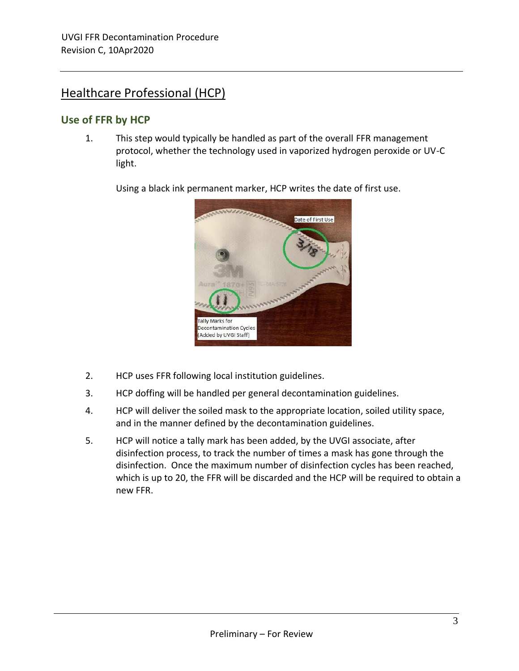# Healthcare Professional (HCP)

## **Use of FFR by HCP**

1. This step would typically be handled as part of the overall FFR management protocol, whether the technology used in vaporized hydrogen peroxide or UV-C light.



Using a black ink permanent marker, HCP writes the date of first use.

- 2. HCP uses FFR following local institution guidelines.
- 3. HCP doffing will be handled per general decontamination guidelines.
- 4. HCP will deliver the soiled mask to the appropriate location, soiled utility space, and in the manner defined by the decontamination guidelines.
- 5. HCP will notice a tally mark has been added, by the UVGI associate, after disinfection process, to track the number of times a mask has gone through the disinfection. Once the maximum number of disinfection cycles has been reached, which is up to 20, the FFR will be discarded and the HCP will be required to obtain a new FFR.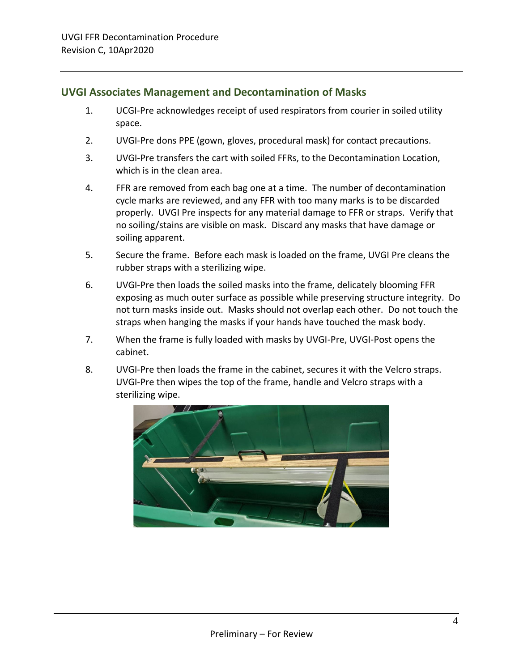### **UVGI Associates Management and Decontamination of Masks**

- 1. UCGI-Pre acknowledges receipt of used respirators from courier in soiled utility space.
- 2. UVGI-Pre dons PPE (gown, gloves, procedural mask) for contact precautions.
- 3. UVGI-Pre transfers the cart with soiled FFRs, to the Decontamination Location, which is in the clean area.
- 4. FFR are removed from each bag one at a time. The number of decontamination cycle marks are reviewed, and any FFR with too many marks is to be discarded properly. UVGI Pre inspects for any material damage to FFR or straps. Verify that no soiling/stains are visible on mask. Discard any masks that have damage or soiling apparent.
- 5. Secure the frame. Before each mask is loaded on the frame, UVGI Pre cleans the rubber straps with a sterilizing wipe.
- 6. UVGI-Pre then loads the soiled masks into the frame, delicately blooming FFR exposing as much outer surface as possible while preserving structure integrity. Do not turn masks inside out. Masks should not overlap each other. Do not touch the straps when hanging the masks if your hands have touched the mask body.
- 7. When the frame is fully loaded with masks by UVGI-Pre, UVGI-Post opens the cabinet.
- 8. UVGI-Pre then loads the frame in the cabinet, secures it with the Velcro straps. UVGI-Pre then wipes the top of the frame, handle and Velcro straps with a sterilizing wipe.

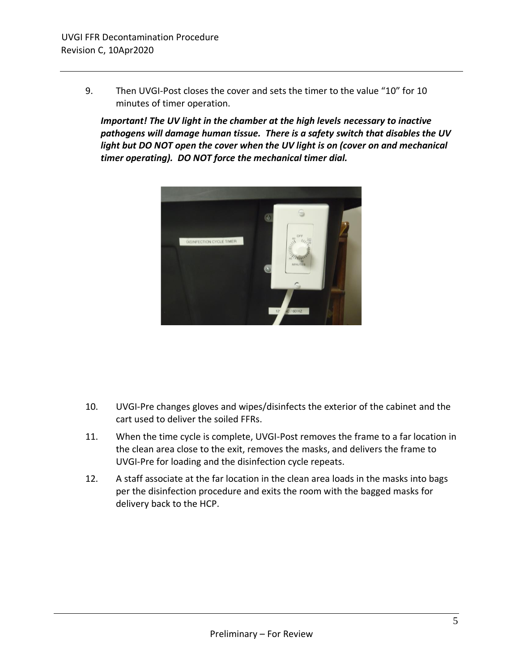9. Then UVGI-Post closes the cover and sets the timer to the value "10" for 10 minutes of timer operation.

*Important! The UV light in the chamber at the high levels necessary to inactive pathogens will damage human tissue. There is a safety switch that disables the UV light but DO NOT open the cover when the UV light is on (cover on and mechanical timer operating). DO NOT force the mechanical timer dial.*



- 10. UVGI-Pre changes gloves and wipes/disinfects the exterior of the cabinet and the cart used to deliver the soiled FFRs.
- 11. When the time cycle is complete, UVGI-Post removes the frame to a far location in the clean area close to the exit, removes the masks, and delivers the frame to UVGI-Pre for loading and the disinfection cycle repeats.
- 12. A staff associate at the far location in the clean area loads in the masks into bags per the disinfection procedure and exits the room with the bagged masks for delivery back to the HCP.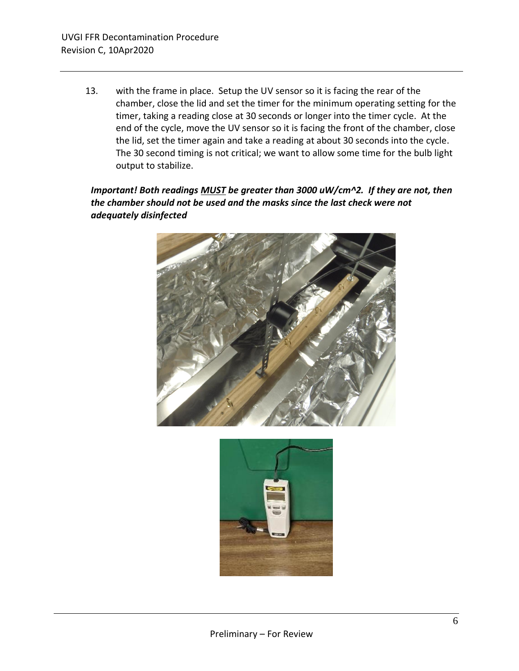13. with the frame in place. Setup the UV sensor so it is facing the rear of the chamber, close the lid and set the timer for the minimum operating setting for the timer, taking a reading close at 30 seconds or longer into the timer cycle. At the end of the cycle, move the UV sensor so it is facing the front of the chamber, close the lid, set the timer again and take a reading at about 30 seconds into the cycle. The 30 second timing is not critical; we want to allow some time for the bulb light output to stabilize.

#### *Important! Both readings MUST be greater than 3000 uW/cm^2. If they are not, then the chamber should not be used and the masks since the last check were not adequately disinfected*



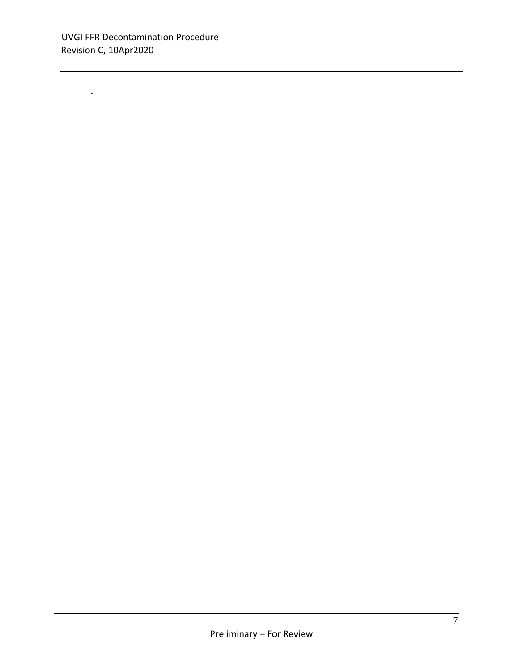*.*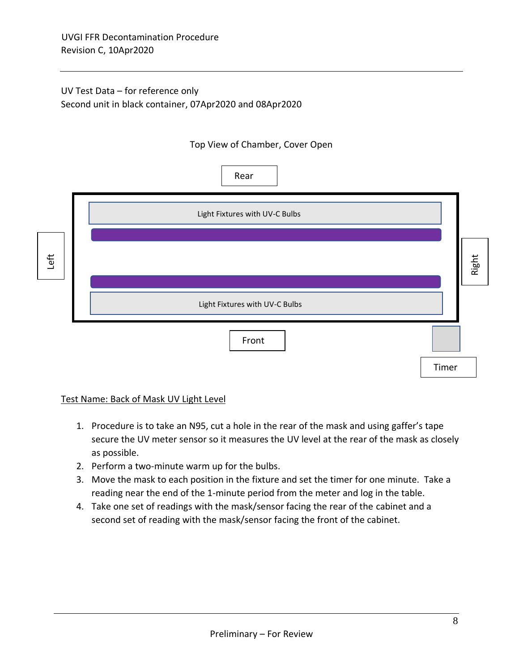## UV Test Data – for reference only Second unit in black container, 07Apr2020 and 08Apr2020



|     | Rear                           |       |
|-----|--------------------------------|-------|
|     | Light Fixtures with UV-C Bulbs |       |
| Let |                                | Right |
|     | Light Fixtures with UV-C Bulbs |       |
|     | Front<br>Timer                 |       |

#### Test Name: Back of Mask UV Light Level

- 1. Procedure is to take an N95, cut a hole in the rear of the mask and using gaffer's tape secure the UV meter sensor so it measures the UV level at the rear of the mask as closely as possible.
- 2. Perform a two-minute warm up for the bulbs.
- 3. Move the mask to each position in the fixture and set the timer for one minute. Take a reading near the end of the 1-minute period from the meter and log in the table.
- 4. Take one set of readings with the mask/sensor facing the rear of the cabinet and a second set of reading with the mask/sensor facing the front of the cabinet.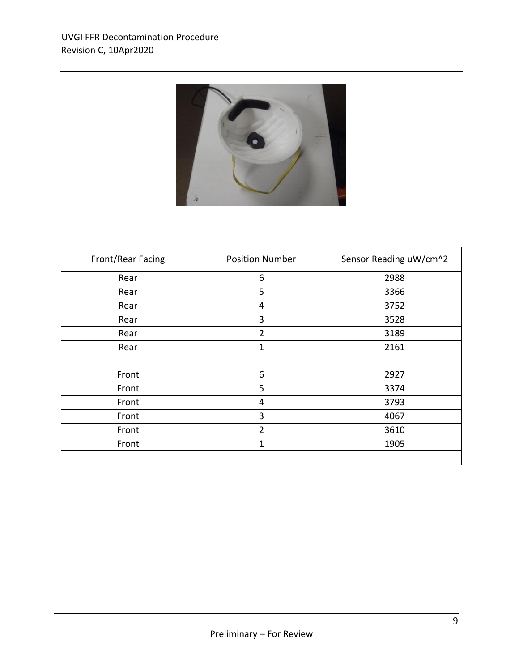

| Front/Rear Facing | Sensor Reading uW/cm^2<br><b>Position Number</b> |      |
|-------------------|--------------------------------------------------|------|
| Rear              | 6                                                | 2988 |
| Rear              | 5                                                | 3366 |
| Rear              | 4                                                | 3752 |
| Rear              | 3                                                | 3528 |
| Rear              | $\overline{2}$                                   | 3189 |
| Rear              | $\mathbf 1$                                      | 2161 |
|                   |                                                  |      |
| Front             | 6                                                | 2927 |
| Front             | 5                                                | 3374 |
| Front             | 4                                                | 3793 |
| Front             | 3                                                | 4067 |
| Front             | $\overline{2}$                                   | 3610 |
| Front             | 1                                                | 1905 |
|                   |                                                  |      |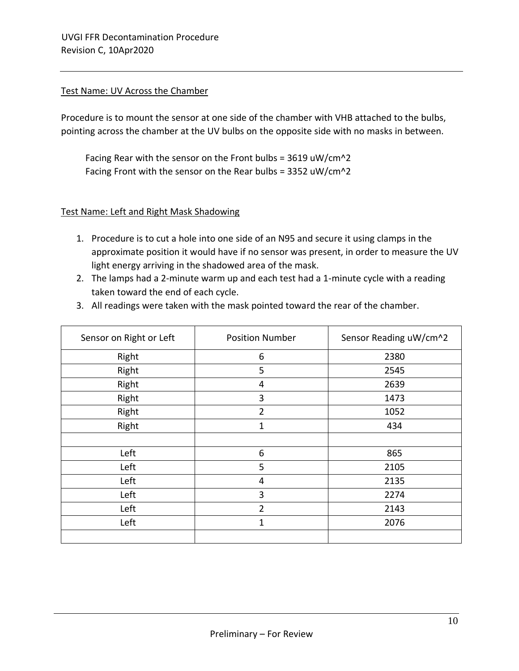#### Test Name: UV Across the Chamber

Procedure is to mount the sensor at one side of the chamber with VHB attached to the bulbs, pointing across the chamber at the UV bulbs on the opposite side with no masks in between.

Facing Rear with the sensor on the Front bulbs = 3619 uW/cm^2 Facing Front with the sensor on the Rear bulbs = 3352 uW/cm^2

#### Test Name: Left and Right Mask Shadowing

- 1. Procedure is to cut a hole into one side of an N95 and secure it using clamps in the approximate position it would have if no sensor was present, in order to measure the UV light energy arriving in the shadowed area of the mask.
- 2. The lamps had a 2-minute warm up and each test had a 1-minute cycle with a reading taken toward the end of each cycle.

| Sensor on Right or Left | <b>Position Number</b> | Sensor Reading uW/cm^2 |
|-------------------------|------------------------|------------------------|
| Right                   | 6                      | 2380                   |
| Right                   | 5                      | 2545                   |
| Right                   | 4                      | 2639                   |
| Right                   | 3                      | 1473                   |
| Right                   | 2                      | 1052                   |
| Right                   | 1                      | 434                    |
|                         |                        |                        |
| Left                    | 6                      | 865                    |
| Left                    | 5                      | 2105                   |
| Left                    | 4                      | 2135                   |
| Left                    | 3                      | 2274                   |
| Left                    | $\overline{2}$         | 2143                   |
| Left                    | 1                      | 2076                   |
|                         |                        |                        |

3. All readings were taken with the mask pointed toward the rear of the chamber.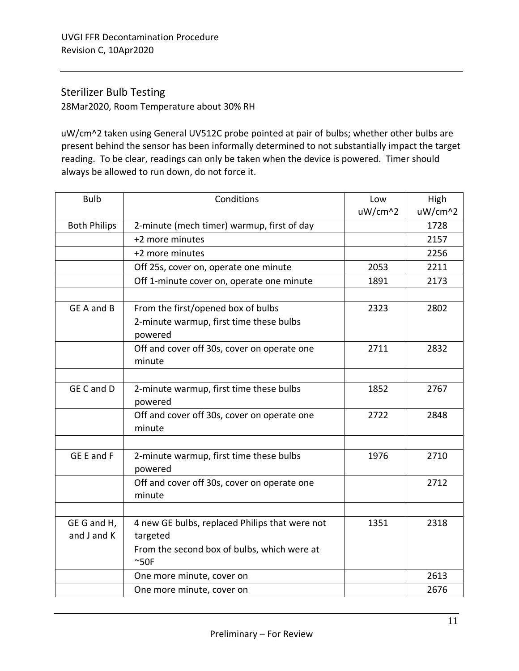## Sterilizer Bulb Testing

28Mar2020, Room Temperature about 30% RH

uW/cm^2 taken using General UV512C probe pointed at pair of bulbs; whether other bulbs are present behind the sensor has been informally determined to not substantially impact the target reading. To be clear, readings can only be taken when the device is powered. Timer should always be allowed to run down, do not force it.

| <b>Bulb</b>         | Conditions                                                 | Low     | High    |
|---------------------|------------------------------------------------------------|---------|---------|
|                     |                                                            | uW/cm^2 | uW/cm^2 |
| <b>Both Philips</b> | 2-minute (mech timer) warmup, first of day                 |         | 1728    |
|                     | +2 more minutes                                            |         | 2157    |
|                     | +2 more minutes                                            |         | 2256    |
|                     | Off 25s, cover on, operate one minute                      | 2053    | 2211    |
|                     | Off 1-minute cover on, operate one minute                  | 1891    | 2173    |
|                     |                                                            |         |         |
| GE A and B          | From the first/opened box of bulbs                         | 2323    | 2802    |
|                     | 2-minute warmup, first time these bulbs                    |         |         |
|                     | powered                                                    |         |         |
|                     | Off and cover off 30s, cover on operate one                | 2711    | 2832    |
|                     | minute                                                     |         |         |
|                     |                                                            |         |         |
| GE C and D          | 2-minute warmup, first time these bulbs                    | 1852    | 2767    |
|                     | powered                                                    |         |         |
|                     | Off and cover off 30s, cover on operate one                | 2722    | 2848    |
|                     | minute                                                     |         |         |
|                     |                                                            |         |         |
| GE E and F          | 2-minute warmup, first time these bulbs                    | 1976    | 2710    |
|                     | powered                                                    |         |         |
|                     | Off and cover off 30s, cover on operate one                |         | 2712    |
|                     | minute                                                     |         |         |
|                     |                                                            |         |         |
| GE G and H,         | 4 new GE bulbs, replaced Philips that were not             | 1351    | 2318    |
| and J and K         | targeted                                                   |         |         |
|                     | From the second box of bulbs, which were at<br>$~\sim$ 50F |         |         |
|                     |                                                            |         | 2613    |
|                     | One more minute, cover on                                  |         |         |
|                     | One more minute, cover on                                  |         | 2676    |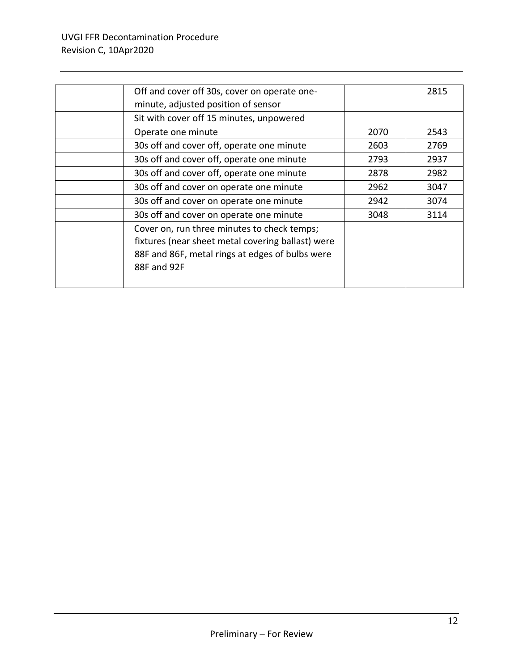| Off and cover off 30s, cover on operate one-      |      | 2815 |
|---------------------------------------------------|------|------|
| minute, adjusted position of sensor               |      |      |
| Sit with cover off 15 minutes, unpowered          |      |      |
| Operate one minute                                | 2070 | 2543 |
| 30s off and cover off, operate one minute         | 2603 | 2769 |
| 30s off and cover off, operate one minute         | 2793 | 2937 |
| 30s off and cover off, operate one minute         | 2878 | 2982 |
| 30s off and cover on operate one minute           | 2962 | 3047 |
| 30s off and cover on operate one minute           | 2942 | 3074 |
| 30s off and cover on operate one minute           | 3048 | 3114 |
| Cover on, run three minutes to check temps;       |      |      |
| fixtures (near sheet metal covering ballast) were |      |      |
| 88F and 86F, metal rings at edges of bulbs were   |      |      |
| 88F and 92F                                       |      |      |
|                                                   |      |      |